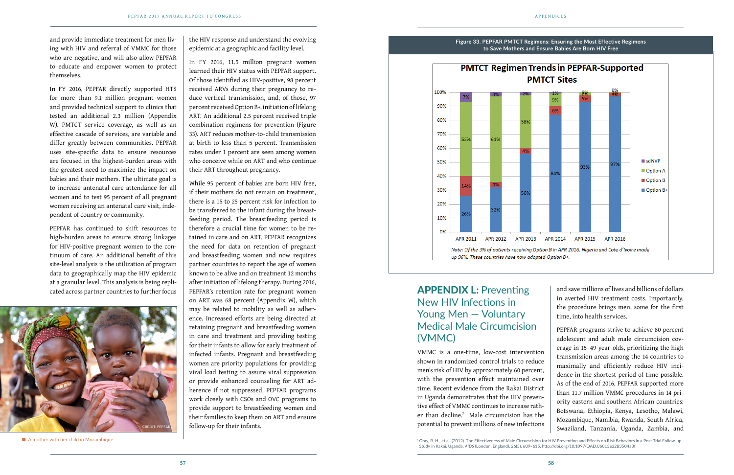## APPENDIX L: Preventing New HIV Infections in Young Men — Voluntary Medical Male Circumcision

and save millions of lives and billions of dollars in averted HIV treatment costs. Importantly, the procedure brings men, some for the first time, into health services.

(VMMC) VMMC is a one-time, low-cost intervention shown in randomized control trials to reduce men's risk of HIV by approximately 60 percent, with the prevention effect maintained over time. Recent evidence from the Rakai District in Uganda demonstrates that the HIV preventive effect of VMMC continues to increase rather than decline.7 Male circumcision has the potential to prevent millions of new infections PEPFAR programs strive to achieve 80 percent adolescent and adult male circumcision coverage in 15–49-year-olds, prioritizing the high transmission areas among the 14 countries to maximally and efficiently reduce HIV incidence in the shortest period of time possible. As of the end of 2016, PEPFAR supported more than 11.7 million VMMC procedures in 14 priority eastern and southern African countries: Botswana, Ethiopia, Kenya, Lesotho, Malawi, Mozambique, Namibia, Rwanda, South Africa, Swaziland, Tanzania, Uganda, Zambia, and

 $^7$  Gray, R. H., et al. (2012). The Effectiveness of Male Circumcision for HIV Prevention and Effects on Risk Behaviors in a Post-Trial Follow-up Study in Rakai, Uganda. *AIDS* (London, England), 26(5), 609–615. http://doi.org/10.1097/QAD.0b013e3283504a3f



■ A mother with her child in Mozambique.

and provide immediate treatment for men living with HIV and referral of VMMC for those who are negative, and will also allow PEPFAR to educate and empower women to protect themselves.

In FY 2016, PEPFAR directly supported HTS for more than 9.1 million pregnant women and provided technical support to clinics that tested an additional 2.3 million (Appendix W). PMTCT service coverage, as well as an effective cascade of services, are variable and differ greatly between communities. PEPFAR uses site-specific data to ensure resources are focused in the highest-burden areas with the greatest need to maximize the impact on babies and their mothers. The ultimate goal is to increase antenatal care attendance for all women and to test 95 percent of all pregnant women receiving an antenatal care visit, independent of country or community.

PEPFAR has continued to shift resources to high-burden areas to ensure strong linkages for HIV-positive pregnant women to the continuum of care. An additional benefit of this site-level analysis is the utilization of program data to geographically map the HIV epidemic at a granular level. This analysis is being replicated across partner countries to further focus

the HIV response and understand the evolving epidemic at a geographic and facility level.

In FY 2016, 11.5 million pregnant women learned their HIV status with PEPFAR support. Of those identified as HIV-positive, 98 percent received ARVs during their pregnancy to reduce vertical transmission, and, of those, 97 percent received Option B+, initiation of lifelong ART. An additional 2.5 percent received triple combination regimens for prevention (Figure 33). ART reduces mother-to-child transmission at birth to less than 5 percent. Transmission rates under 1 percent are seen among women who conceive while on ART and who continue their ART throughout pregnancy.

While 95 percent of babies are born HIV free, if their mothers do not remain on treatment, there is a 15 to 25 percent risk for infection to be transferred to the infant during the breastfeeding period. The breastfeeding period is therefore a crucial time for women to be retained in care and on ART. PEPFAR recognizes the need for data on retention of pregnant and breastfeeding women and now requires partner countries to report the age of women known to be alive and on treatment 12 months after initiation of lifelong therapy. During 2016, PEPFAR's retention rate for pregnant women on ART was 68 percent (Appendix W), which may be related to mobility as well as adherence. Increased efforts are being directed at retaining pregnant and breastfeeding women in care and treatment and providing testing for their infants to allow for early treatment of infected infants. Pregnant and breastfeeding women are priority populations for providing viral load testing to assure viral suppression or provide enhanced counseling for ART adherence if not suppressed. PEPFAR programs work closely with CSOs and OVC programs to provide support to breastfeeding women and their families to keep them on ART and ensure follow-up for their infants.

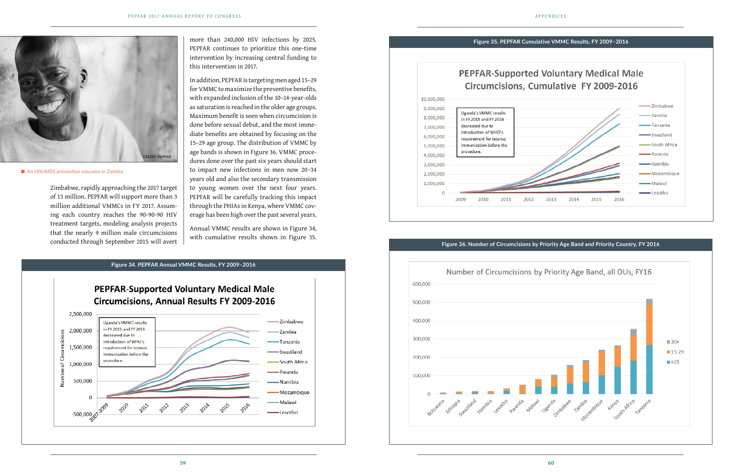Zimbabwe, rapidly approaching the 2017 target of 13 million. PEPFAR will support more than 3 million additional VMMCs in FY 2017. Assuming each country reaches the 90-90-90 HIV treatment targets, modeling analysis projects that the nearly 9 million male circumcisions conducted through September 2015 will avert

more than 240,000 HIV infections by 2025. PEPFAR continues to prioritize this one-time intervention by increasing central funding to this intervention in 2017.



■ An HIV/AIDS prevention educator in Zambia.

In addition, PEPFAR is targeting men aged 15–29 for VMMC to maximize the preventive benefits, with expanded inclusion of the 10–14-year-olds as saturation is reached in the older age groups. Maximum benefit is seen when circumcision is done before sexual debut, and the most immediate benefits are obtained by focusing on the 15–29 age group. The distribution of VMMC by age bands is shown in Figure 36. VMMC procedures done over the past six years should start to impact new infections in men now 20–34 years old and also the secondary transmission to young women over the next four years. PEPFAR will be carefully tracking this impact through the PHIAs in Kenya, where VMMC coverage has been high over the past several years.

Annual VMMC results are shown in Figure 34, with cumulative results shown in Figure 35.



10,000,000 9,000,000 Uganda's VMMC results 8,000,000 in FY 2015 and FY 2016 decreased due to 7,000,000 introduction of WHO's 6,000,000 requirement for tetanus immunization before the 5,000,000 procedure. 4,000,000 3,000,000 2,000,000 1,000,000  $\Omega$ 2010 2012 2009 2011